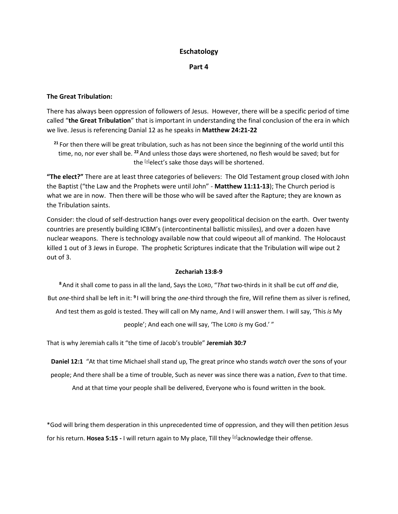# **Eschatology**

**Part 4** 

# **The Great Tribulation:**

There has always been oppression of followers of Jesus. However, there will be a specific period of time called "**the Great Tribulation**" that is important in understanding the final conclusion of the era in which we live. Jesus is referencing Danial 12 as he speaks in **Matthew 24:21-22**

**<sup>21</sup>** For then there will be great tribulation, such as has not been since the beginning of the world until this time, no, nor ever shall be. **<sup>22</sup>**And unless those days were shortened, no flesh would be saved; but for the [\[a\]](https://www.biblegateway.com/passage/?search=Matthew+24%3A21-22&version=NKJV#fen-NKJV-23980a)elect's sake those days will be shortened.

**"The elect?"** There are at least three categories of believers: The Old Testament group closed with John the Baptist ("the Law and the Prophets were until John" - **Matthew 11:11-13**); The Church period is what we are in now. Then there will be those who will be saved after the Rapture; they are known as the Tribulation saints.

Consider: the cloud of self-destruction hangs over every geopolitical decision on the earth. Over twenty countries are presently building ICBM's (intercontinental ballistic missiles), and over a dozen have nuclear weapons. There is technology available now that could wipeout all of mankind. The Holocaust killed 1 out of 3 Jews in Europe. The prophetic Scriptures indicate that the Tribulation will wipe out 2 out of 3.

#### **Zechariah 13:8-9**

**<sup>8</sup>**And it shall come to pass in all the land, Says the LORD, "*That* two-thirds in it shall be cut off *and* die, But *one*-third shall be left in it: <sup>9</sup> I will bring the *one*-third through the fire, Will refine them as silver is refined,

And test them as gold is tested. They will call on My name, And I will answer them. I will say, 'This *is* My

people'; And each one will say, 'The LORD *is* my God.' "

That is why Jeremiah calls it "the time of Jacob's trouble" **Jeremiah 30:7**

**Daniel 12:1** "At that time Michael shall stand up, The great prince who stands *watch* over the sons of your people; And there shall be a time of trouble, Such as never was since there was a nation, *Even* to that time.

And at that time your people shall be delivered, Everyone who is found written in the book.

\*God will bring them desperation in this unprecedented time of oppression, and they will then petition Jesus for his return. **Hosea 5:15 -** I will return again to My place, Till they [\[a\]](https://www.biblegateway.com/passage/?search=Hosea+5%3A15&version=NKJV#fen-NKJV-22168a)acknowledge their offense.